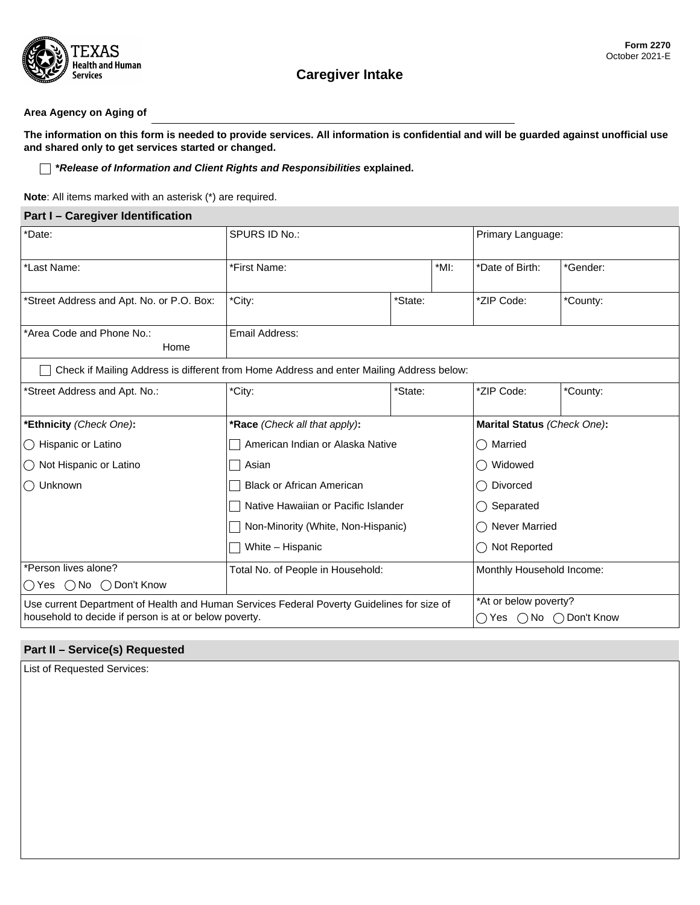

# **Caregiver Intake**

### **Area Agency on Aging of**

**The information on this form is needed to provide services. All information is confidential and will be guarded against unofficial use and shared only to get services started or changed.**

#### **\****Release of Information and Client Rights and Responsibilities* **explained.**

**Note**: All items marked with an asterisk (\*) are required.

| Part I - Caregiver Identification                                                          |                                     |         |                           |                                               |                                      |  |
|--------------------------------------------------------------------------------------------|-------------------------------------|---------|---------------------------|-----------------------------------------------|--------------------------------------|--|
| *Date:                                                                                     | SPURS ID No.:                       |         |                           | Primary Language:<br>$\vert \textbf{I} \vert$ |                                      |  |
| *Last Name:                                                                                | *MI:<br>*First Name:                |         | *Date of Birth:           | *Gender:<br>$\left  \cdot \right $            |                                      |  |
| *Street Address and Apt. No. or P.O. Box:                                                  | *City:                              | *State: | $\left  \bullet \right $  | *ZIP Code:                                    | *County:<br>$\left  \bullet \right $ |  |
| *Area Code and Phone No.:<br>Home                                                          | Email Address:                      |         |                           |                                               |                                      |  |
| Check if Mailing Address is different from Home Address and enter Mailing Address below:   |                                     |         |                           |                                               |                                      |  |
| *Street Address and Apt. No.:                                                              | *City:                              | *State: | $\overline{\phantom{a}}$  | *ZIP Code:                                    | *County:<br>$\vert \mathbf{v} \vert$ |  |
| *Ethnicity (Check One):                                                                    | *Race (Check all that apply):       |         |                           | Marital Status (Check One):                   |                                      |  |
| ◯ Hispanic or Latino                                                                       | American Indian or Alaska Native    |         |                           | Married                                       |                                      |  |
| ◯ Not Hispanic or Latino                                                                   | Asian                               |         |                           | Widowed                                       |                                      |  |
| ◯ Unknown                                                                                  | <b>Black or African American</b>    |         |                           | ◯ Divorced                                    |                                      |  |
|                                                                                            | Native Hawaiian or Pacific Islander |         |                           | Separated                                     |                                      |  |
|                                                                                            | Non-Minority (White, Non-Hispanic)  |         |                           | <b>Never Married</b>                          |                                      |  |
|                                                                                            | White - Hispanic                    |         | Not Reported              |                                               |                                      |  |
| *Person lives alone?                                                                       | Total No. of People in Household:   |         | Monthly Household Income: |                                               |                                      |  |
| ◯ Yes ( ) No ( ) Don't Know                                                                |                                     |         |                           |                                               |                                      |  |
| Use current Department of Health and Human Services Federal Poverty Guidelines for size of |                                     |         | *At or below poverty?     |                                               |                                      |  |
| household to decide if person is at or below poverty.                                      |                                     |         | ◯ Yes ◯ No ◯ Don't Know   |                                               |                                      |  |

# **Part II – Service(s) Requested**

List of Requested Services: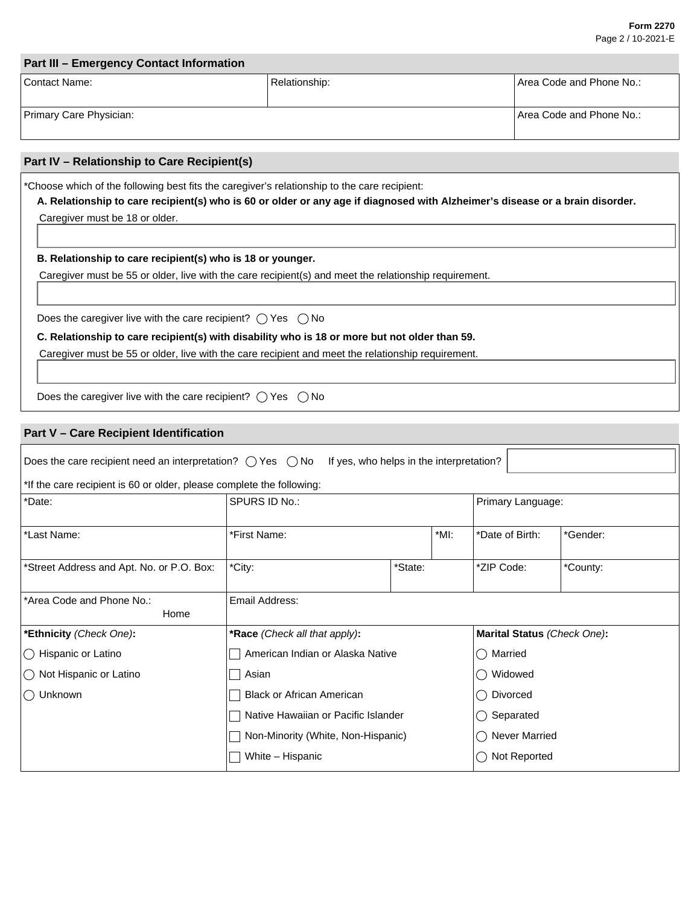#### **Form 2270** Page 2 / 10-2021-E

 $\left| \cdot \right|$ 

 $\left| \cdot \right|$ 

 $\left| \rule{0pt}{10pt} \right.$ 

| Part III - Emergency Contact Information |               |                            |  |  |
|------------------------------------------|---------------|----------------------------|--|--|
| Contact Name:                            | Relationship: | l Area Code and Phone No.: |  |  |
| Primary Care Physician:                  |               | l Area Code and Phone No.: |  |  |

### **Part IV – Relationship to Care Recipient(s)**

\*Choose which of the following best fits the caregiver's relationship to the care recipient:

**A. Relationship to care recipient(s) who is 60 or older or any age if diagnosed with Alzheimer's disease or a brain disorder.** Caregiver must be 18 or older.

**B. Relationship to care recipient(s) who is 18 or younger.**

Caregiver must be 55 or older, live with the care recipient(s) and meet the relationship requirement.

Does the caregiver live with the care recipient?  $\bigcirc$  Yes  $\bigcirc$  No

### **C. Relationship to care recipient(s) with disability who is 18 or more but not older than 59.**

Caregiver must be 55 or older, live with the care recipient and meet the relationship requirement.

Does the caregiver live with the care recipient?  $\bigcirc$  Yes  $\bigcirc$  No

# **Part V – Care Recipient Identification**

| Does the care recipient need an interpretation? $\bigcirc$ Yes $\bigcirc$ No If yes, who helps in the interpretation? |                                     |         |                 |                                               |                              |  |
|-----------------------------------------------------------------------------------------------------------------------|-------------------------------------|---------|-----------------|-----------------------------------------------|------------------------------|--|
| *If the care recipient is 60 or older, please complete the following:                                                 |                                     |         |                 |                                               |                              |  |
| *Date:                                                                                                                | SPURS ID No.:                       |         |                 | Primary Language:<br>$\vert \mathbf{v} \vert$ |                              |  |
| *Last Name:                                                                                                           | *First Name:<br>*MI:                |         | *Date of Birth: | *Gender:<br>$\mathbf{r}$                      |                              |  |
| *Street Address and Apt. No. or P.O. Box:                                                                             | *City:                              | *State: | $\vert \vert$   | *ZIP Code:                                    | *County:<br>$\left  \right $ |  |
| *Area Code and Phone No.:<br>Home                                                                                     | Email Address:                      |         |                 |                                               |                              |  |
| *Ethnicity (Check One):                                                                                               | *Race (Check all that apply):       |         |                 | Marital Status (Check One):                   |                              |  |
| $\bigcirc$ Hispanic or Latino                                                                                         | American Indian or Alaska Native    |         |                 | Married<br>$( \ )$                            |                              |  |
| $\bigcirc$ Not Hispanic or Latino                                                                                     | Asian                               |         |                 | Widowed                                       |                              |  |
| () Unknown                                                                                                            | <b>Black or African American</b>    |         |                 | Divorced<br>$( \ )$                           |                              |  |
|                                                                                                                       | Native Hawaiian or Pacific Islander |         |                 | Separated                                     |                              |  |
|                                                                                                                       | Non-Minority (White, Non-Hispanic)  |         |                 | <b>Never Married</b>                          |                              |  |
|                                                                                                                       | White - Hispanic                    |         | Not Reported    |                                               |                              |  |